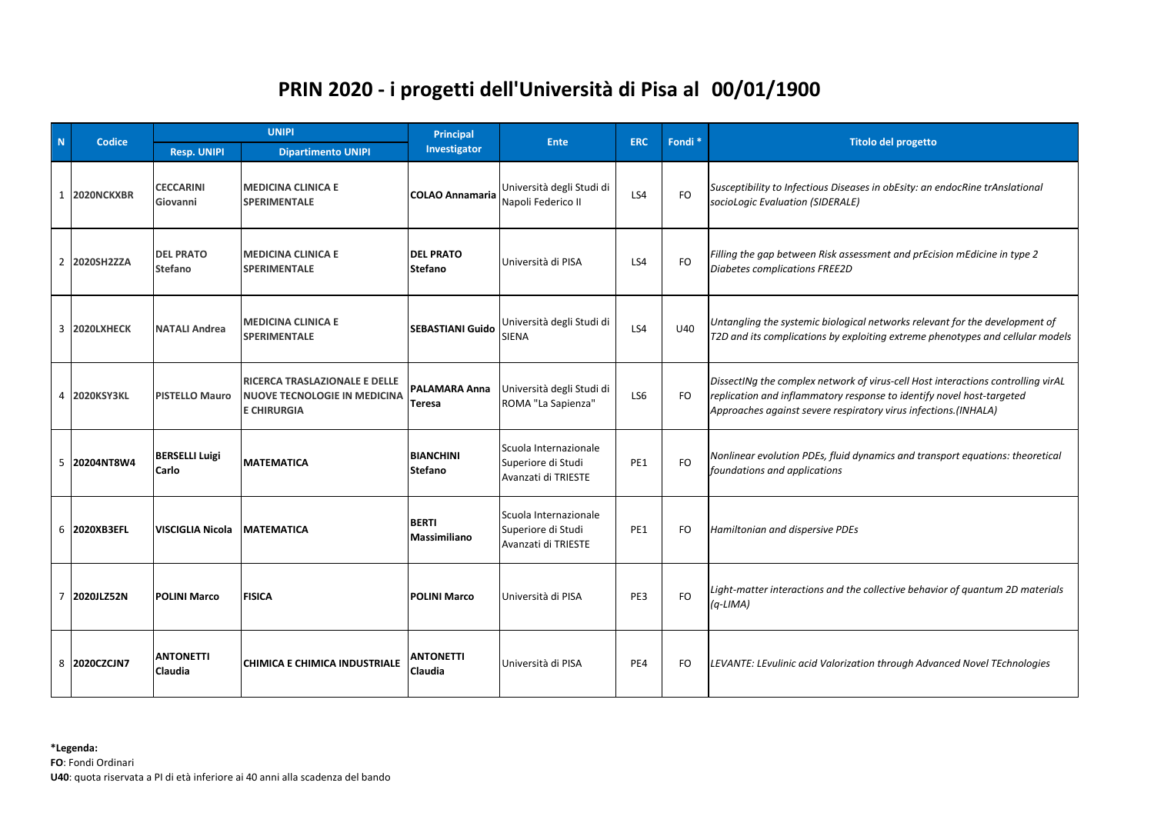## **00/01/1900 PRIN 2020 - i progetti dell'Università di Pisa al**

| $\mathbf N$    | Codice            | <b>UNIPI</b>                   |                                                                                            | Principal                             | <b>Ente</b>                                                        | <b>ERC</b> | Fondi <sup>*</sup> | <b>Titolo del progetto</b>                                                                                                                                                                                                   |
|----------------|-------------------|--------------------------------|--------------------------------------------------------------------------------------------|---------------------------------------|--------------------------------------------------------------------|------------|--------------------|------------------------------------------------------------------------------------------------------------------------------------------------------------------------------------------------------------------------------|
|                |                   | <b>Resp. UNIPI</b>             | <b>Dipartimento UNIPI</b>                                                                  | Investigator                          |                                                                    |            |                    |                                                                                                                                                                                                                              |
|                | 1 2020NCKXBR      | <b>CECCARINI</b><br>Giovanni   | <b>MEDICINA CLINICA E</b><br>SPERIMENTALE                                                  | <b>COLAO Annamaria</b>                | Università degli Studi di<br>Napoli Federico II                    | LS4        | <b>FO</b>          | Susceptibility to Infectious Diseases in obEsity: an endocRine trAnslational<br>socioLogic Evaluation (SIDERALE)                                                                                                             |
| $2^{\circ}$    | 2020SH2ZZA        | <b>DEL PRATO</b><br>Stefano    | <b>MEDICINA CLINICA E</b><br><b>SPERIMENTALE</b>                                           | <b>DEL PRATO</b><br><b>Stefano</b>    | Università di PISA                                                 | LS4        | FO.                | Filling the gap between Risk assessment and prEcision mEdicine in type 2<br>Diabetes complications FREE2D                                                                                                                    |
|                | 3 2020LXHECK      | <b>NATALI Andrea</b>           | <b>MEDICINA CLINICA E</b><br><b>SPERIMENTALE</b>                                           | <b>SEBASTIANI Guido</b>               | Università degli Studi di<br><b>SIENA</b>                          | LS4        | U40                | Untangling the systemic biological networks relevant for the development of<br>T2D and its complications by exploiting extreme phenotypes and cellular models                                                                |
| 4              | 2020KSY3KL        | <b>PISTELLO Mauro</b>          | RICERCA TRASLAZIONALE E DELLE<br><b>NUOVE TECNOLOGIE IN MEDICINA</b><br><b>E CHIRURGIA</b> | <b>PALAMARA Anna</b><br><b>Teresa</b> | Università degli Studi di<br>ROMA "La Sapienza"                    | LS6        | FO                 | DissectINg the complex network of virus-cell Host interactions controlling virAL<br>replication and inflammatory response to identify novel host-targeted<br>Approaches against severe respiratory virus infections.(INHALA) |
| 5              | 20204NT8W4        | <b>BERSELLI Luigi</b><br>Carlo | <b>MATEMATICA</b>                                                                          | <b>BIANCHINI</b><br><b>Stefano</b>    | Scuola Internazionale<br>Superiore di Studi<br>Avanzati di TRIESTE | PE1        | <b>FO</b>          | Nonlinear evolution PDEs, fluid dynamics and transport equations: theoretical<br>foundations and applications                                                                                                                |
| 6              | <b>2020XB3EFL</b> | <b>VISCIGLIA Nicola</b>        | <b>MATEMATICA</b>                                                                          | <b>BERTI</b><br><b>Massimiliano</b>   | Scuola Internazionale<br>Superiore di Studi<br>Avanzati di TRIESTE | PE1        | FO                 | Hamiltonian and dispersive PDEs                                                                                                                                                                                              |
| $\overline{7}$ | 2020JLZ52N        | <b>POLINI Marco</b>            | <b>FISICA</b>                                                                              | <b>POLINI Marco</b>                   | Università di PISA                                                 | PE3        | <b>FO</b>          | Light-matter interactions and the collective behavior of quantum 2D materials<br>$(q-LIMA)$                                                                                                                                  |
| 8              | 2020CZCJN7        | <b>ANTONETTI</b><br>Claudia    | CHIMICA E CHIMICA INDUSTRIALE                                                              | <b>ANTONETTI</b><br>Claudia           | Università di PISA                                                 | PE4        | FO                 | LEVANTE: LEvulinic acid Valorization through Advanced Novel TEchnologies                                                                                                                                                     |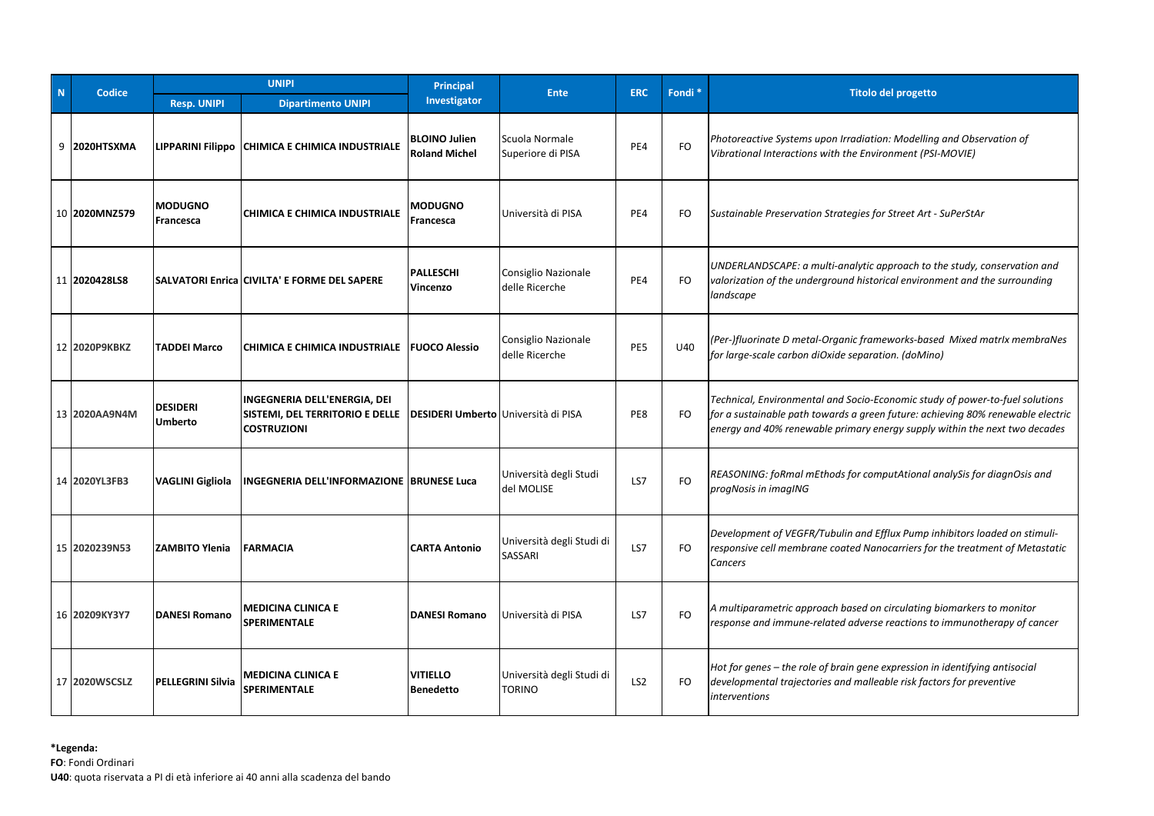| N. | Codice        | <b>UNIPI</b>                      |                                                                                       | Principal                                    | <b>Ente</b>                           | <b>ERC</b>      | Fondi <sup>*</sup> | <b>Titolo del progetto</b>                                                                                                                                                                                                                    |
|----|---------------|-----------------------------------|---------------------------------------------------------------------------------------|----------------------------------------------|---------------------------------------|-----------------|--------------------|-----------------------------------------------------------------------------------------------------------------------------------------------------------------------------------------------------------------------------------------------|
|    |               | <b>Resp. UNIPI</b>                | <b>Dipartimento UNIPI</b>                                                             | Investigator                                 |                                       |                 |                    |                                                                                                                                                                                                                                               |
|    | 9 2020HTSXMA  |                                   | LIPPARINI Filippo CHIMICA E CHIMICA INDUSTRIALE                                       | <b>BLOINO Julien</b><br><b>Roland Michel</b> | Scuola Normale<br>Superiore di PISA   | PE4             | FO                 | Photoreactive Systems upon Irradiation: Modelling and Observation of<br>Vibrational Interactions with the Environment (PSI-MOVIE)                                                                                                             |
|    | 10 2020MNZ579 | <b>MODUGNO</b><br>Francesca       | CHIMICA E CHIMICA INDUSTRIALE                                                         | <b>MODUGNO</b><br>Francesca                  | Università di PISA                    | PE4             | FO                 | Sustainable Preservation Strategies for Street Art - SuPerStAr                                                                                                                                                                                |
|    | 11 2020428LS8 |                                   | SALVATORI Enrica CIVILTA' E FORME DEL SAPERE                                          | <b>PALLESCHI</b><br>Vincenzo                 | Consiglio Nazionale<br>delle Ricerche | PE4             | FO.                | UNDERLANDSCAPE: a multi-analytic approach to the study, conservation and<br>valorization of the underground historical environment and the surrounding<br>landscape                                                                           |
|    | 12 2020P9KBKZ | <b>TADDEI Marco</b>               | CHIMICA E CHIMICA INDUSTRIALE   FUOCO Alessio                                         |                                              | Consiglio Nazionale<br>delle Ricerche | PE5             | U40                | (Per-)fluorinate D metal-Organic frameworks-based Mixed matrlx membraNes<br>for large-scale carbon diOxide separation. (doMino)                                                                                                               |
|    | 13 2020AA9N4M | <b>DESIDERI</b><br><b>Umberto</b> | INGEGNERIA DELL'ENERGIA, DEI<br>SISTEMI, DEL TERRITORIO E DELLE<br><b>COSTRUZIONI</b> | <b>DESIDERI Umberto Università di PISA</b>   |                                       | PE8             | FO.                | Technical, Environmental and Socio-Economic study of power-to-fuel solutions<br>for a sustainable path towards a green future: achieving 80% renewable electric<br>energy and 40% renewable primary energy supply within the next two decades |
|    | 14 2020YL3FB3 | <b>VAGLINI Gigliola</b>           | <b>INGEGNERIA DELL'INFORMAZIONE BRUNESE Luca</b>                                      |                                              | Università degli Studi<br>del MOLISE  | LS7             | FO                 | REASONING: foRmal mEthods for computAtional analySis for diagnOsis and<br>progNosis in imagING                                                                                                                                                |
|    | 15 2020239N53 | <b>ZAMBITO Ylenia</b>             | <b>FARMACIA</b>                                                                       | <b>CARTA Antonio</b>                         | Università degli Studi di<br>SASSARI  | LS7             | FO.                | Development of VEGFR/Tubulin and Efflux Pump inhibitors loaded on stimuli-<br>responsive cell membrane coated Nanocarriers for the treatment of Metastatic<br>Cancers                                                                         |
|    | 16 20209KY3Y7 | <b>DANESI Romano</b>              | <b>MEDICINA CLINICA E</b><br>SPERIMENTALE                                             | <b>DANESI Romano</b>                         | Università di PISA                    | LS7             | FO                 | A multiparametric approach based on circulating biomarkers to monitor<br>response and immune-related adverse reactions to immunotherapy of cancer                                                                                             |
|    | 17 2020WSCSLZ | <b>PELLEGRINI Silvia</b>          | <b>MEDICINA CLINICA E</b><br><b>SPERIMENTALE</b>                                      | <b>VITIELLO</b><br><b>Benedetto</b>          | Università degli Studi di<br>TORINO   | LS <sub>2</sub> | FO.                | Hot for genes – the role of brain gene expression in identifying antisocial<br>developmental trajectories and malleable risk factors for preventive<br>interventions                                                                          |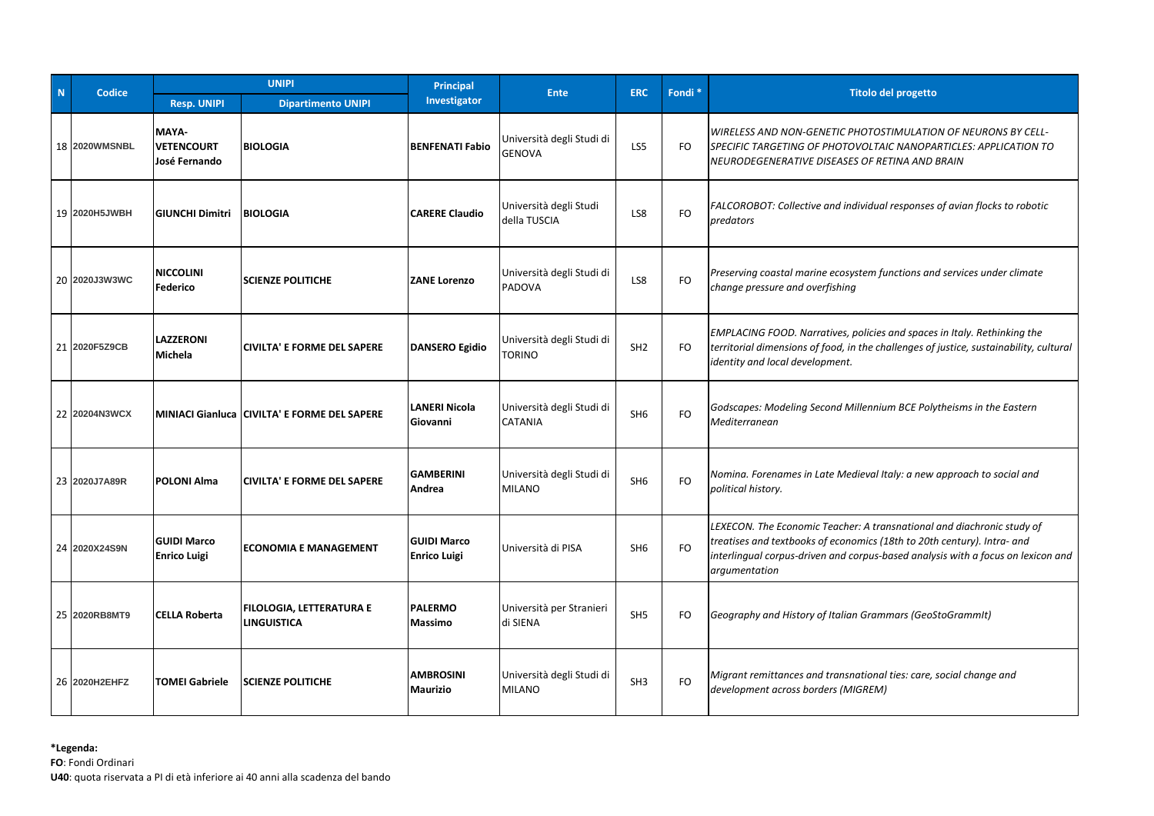| N. | Codice               | <b>UNIPI</b>                                |                                                       | Principal                                 | <b>Ente</b>                                | <b>ERC</b>      | Fondi <sup>*</sup> | <b>Titolo del progetto</b>                                                                                                                                                                                                                             |
|----|----------------------|---------------------------------------------|-------------------------------------------------------|-------------------------------------------|--------------------------------------------|-----------------|--------------------|--------------------------------------------------------------------------------------------------------------------------------------------------------------------------------------------------------------------------------------------------------|
|    |                      | <b>Resp. UNIPI</b>                          | <b>Dipartimento UNIPI</b>                             | Investigator                              |                                            |                 |                    |                                                                                                                                                                                                                                                        |
|    | <b>18 2020WMSNBL</b> | MAYA-<br><b>VETENCOURT</b><br>José Fernando | <b>BIOLOGIA</b>                                       | <b>BENFENATI Fabio</b>                    | Università degli Studi di<br><b>GENOVA</b> | LS5             | FO.                | WIRELESS AND NON-GENETIC PHOTOSTIMULATION OF NEURONS BY CELL-<br>SPECIFIC TARGETING OF PHOTOVOLTAIC NANOPARTICLES: APPLICATION TO<br>NEURODEGENERATIVE DISEASES OF RETINA AND BRAIN                                                                    |
|    | 19 2020H5JWBH        | <b>GIUNCHI Dimitri</b>                      | <b>BIOLOGIA</b>                                       | <b>CARERE Claudio</b>                     | Università degli Studi<br>della TUSCIA     | LS8             | <b>FO</b>          | FALCOROBOT: Collective and individual responses of avian flocks to robotic<br>predators                                                                                                                                                                |
|    | 20 2020J3W3WC        | <b>NICCOLINI</b><br>Federico                | <b>SCIENZE POLITICHE</b>                              | <b>ZANE Lorenzo</b>                       | Università degli Studi di<br>PADOVA        | LS8             | FO                 | Preserving coastal marine ecosystem functions and services under climate<br>change pressure and overfishing                                                                                                                                            |
|    | 21 2020F5Z9CB        | <b>LAZZERONI</b><br>Michela                 | <b>ICIVILTA' E FORME DEL SAPERE</b>                   | <b>DANSERO Egidio</b>                     | Università degli Studi di<br>TORINO        | SH <sub>2</sub> | <b>FO</b>          | <b>EMPLACING FOOD. Narratives, policies and spaces in Italy. Rethinking the</b><br>territorial dimensions of food, in the challenges of justice, sustainability, cultural<br>identity and local development.                                           |
|    | 22 20204N3WCX        |                                             | MINIACI Gianluca CIVILTA' E FORME DEL SAPERE          | <b>LANERI Nicola</b><br>Giovanni          | Università degli Studi di<br>CATANIA       | SH <sub>6</sub> | FO.                | Godscapes: Modeling Second Millennium BCE Polytheisms in the Eastern<br>Mediterranean                                                                                                                                                                  |
|    | 23 2020J7A89R        | <b>POLONI Alma</b>                          | <b>ICIVILTA' E FORME DEL SAPERE</b>                   | <b>GAMBERINI</b><br>Andrea                | Università degli Studi di<br><b>MILANO</b> | SH <sub>6</sub> | FO                 | Nomina. Forenames in Late Medieval Italy: a new approach to social and<br>political history.                                                                                                                                                           |
|    | 24 2020X24S9N        | <b>GUIDI Marco</b><br><b>Enrico Luigi</b>   | <b>IECONOMIA E MANAGEMENT</b>                         | <b>GUIDI Marco</b><br><b>Enrico Luigi</b> | Università di PISA                         | SH <sub>6</sub> | FO.                | LEXECON. The Economic Teacher: A transnational and diachronic study of<br>treatises and textbooks of economics (18th to 20th century). Intra- and<br>interlingual corpus-driven and corpus-based analysis with a focus on lexicon and<br>argumentation |
|    | 25 2020RB8MT9        | <b>CELLA Roberta</b>                        | <b>FILOLOGIA, LETTERATURA E</b><br><b>LINGUISTICA</b> | <b>PALERMO</b><br><b>Massimo</b>          | Università per Stranieri<br>di SIENA       | SH <sub>5</sub> | FO                 | Geography and History of Italian Grammars (GeoStoGrammIt)                                                                                                                                                                                              |
|    | 26 2020H2EHFZ        | <b>TOMEI Gabriele</b>                       | <b>SCIENZE POLITICHE</b>                              | <b>AMBROSINI</b><br><b>Maurizio</b>       | Università degli Studi di<br><b>MILANO</b> | SH <sub>3</sub> | FO                 | Migrant remittances and transnational ties: care, social change and<br>development across borders (MIGREM)                                                                                                                                             |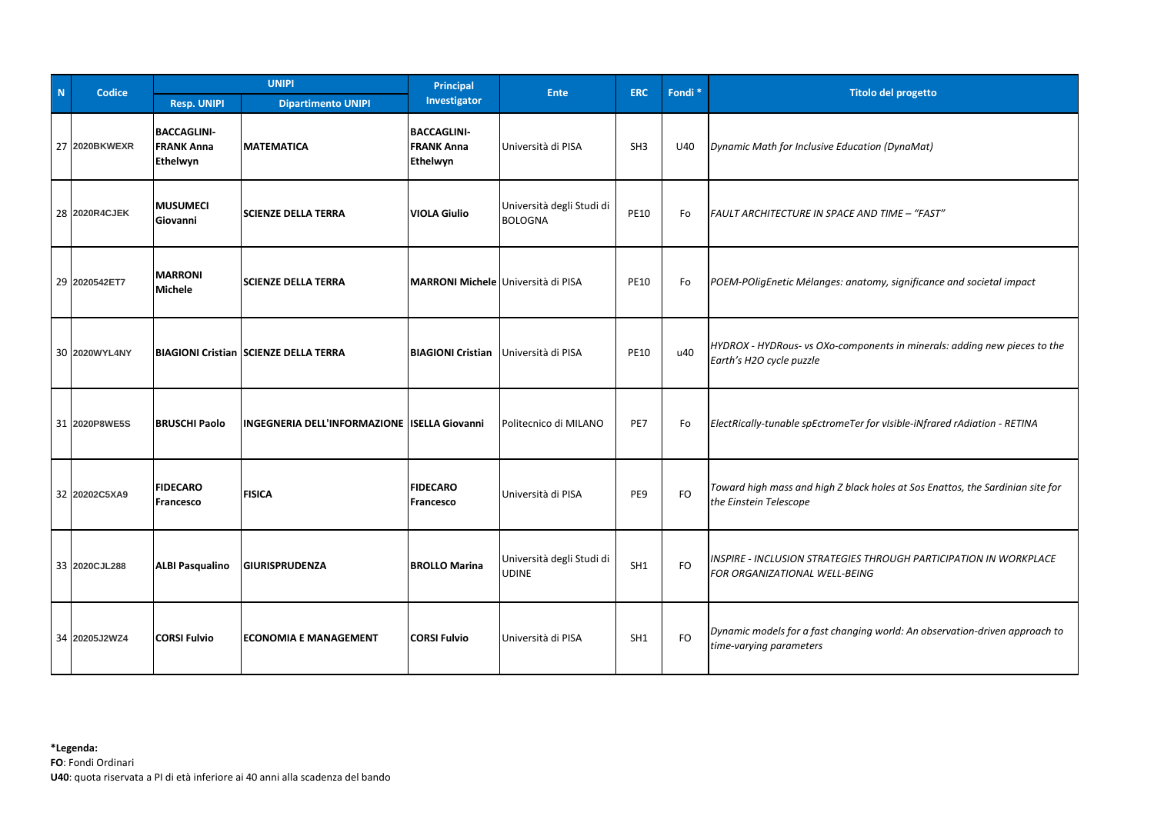| N | Codice        | <b>UNIPI</b>                                        |                                                     | Principal                                           | <b>Ente</b>                                 | <b>ERC</b>      | Fondi <sup>*</sup> | <b>Titolo del progetto</b>                                                                               |
|---|---------------|-----------------------------------------------------|-----------------------------------------------------|-----------------------------------------------------|---------------------------------------------|-----------------|--------------------|----------------------------------------------------------------------------------------------------------|
|   |               | <b>Resp. UNIPI</b>                                  | <b>Dipartimento UNIPI</b>                           | Investigator                                        |                                             |                 |                    |                                                                                                          |
|   | 27 2020BKWEXR | <b>BACCAGLINI-</b><br><b>FRANK Anna</b><br>Ethelwyn | <b>MATEMATICA</b>                                   | <b>BACCAGLINI-</b><br><b>FRANK Anna</b><br>Ethelwyn | Università di PISA                          | SH <sub>3</sub> | U40                | Dynamic Math for Inclusive Education (DynaMat)                                                           |
|   | 28 2020R4CJEK | <b>MUSUMECI</b><br>Giovanni                         | <b>SCIENZE DELLA TERRA</b>                          | <b>VIOLA Giulio</b>                                 | Università degli Studi di<br><b>BOLOGNA</b> | <b>PE10</b>     | Fo                 | FAULT ARCHITECTURE IN SPACE AND TIME - "FAST"                                                            |
|   | 29 2020542ET7 | <b>MARRONI</b><br><b>Michele</b>                    | <b>SCIENZE DELLA TERRA</b>                          | MARRONI Michele Università di PISA                  |                                             | <b>PE10</b>     | Fo                 | POEM-POligEnetic Mélanges: anatomy, significance and societal impact                                     |
|   | 30 2020WYL4NY |                                                     | <b>BIAGIONI Cristian SCIENZE DELLA TERRA</b>        | <b>BIAGIONI Cristian</b>                            | Università di PISA                          | <b>PE10</b>     | u40                | HYDROX - HYDRous- vs OXo-components in minerals: adding new pieces to the<br>Earth's H2O cycle puzzle    |
|   | 31 2020P8WE5S | <b>BRUSCHI Paolo</b>                                | <b>INGEGNERIA DELL'INFORMAZIONE ISELLA Giovanni</b> |                                                     | Politecnico di MILANO                       | PE7             | Fo                 | ElectRically-tunable spEctromeTer for vIsible-iNfrared rAdiation - RETINA                                |
|   | 32 20202C5XA9 | <b>FIDECARO</b><br><b>Francesco</b>                 | <b>FISICA</b>                                       | <b>FIDECARO</b><br><b>Francesco</b>                 | Università di PISA                          | PE9             | <b>FO</b>          | Toward high mass and high Z black holes at Sos Enattos, the Sardinian site for<br>the Einstein Telescope |
|   | 33 2020CJL288 | <b>ALBI Pasqualino</b>                              | <b>GIURISPRUDENZA</b>                               | <b>BROLLO Marina</b>                                | Università degli Studi di<br>UDINE          | SH1             | FO                 | INSPIRE - INCLUSION STRATEGIES THROUGH PARTICIPATION IN WORKPLACE<br>FOR ORGANIZATIONAL WELL-BEING       |
|   | 34 20205J2WZ4 | <b>CORSI Fulvio</b>                                 | <b>ECONOMIA E MANAGEMENT</b>                        | <b>CORSI Fulvio</b>                                 | Università di PISA                          | SH1             | <b>FO</b>          | Dynamic models for a fast changing world: An observation-driven approach to<br>time-varying parameters   |